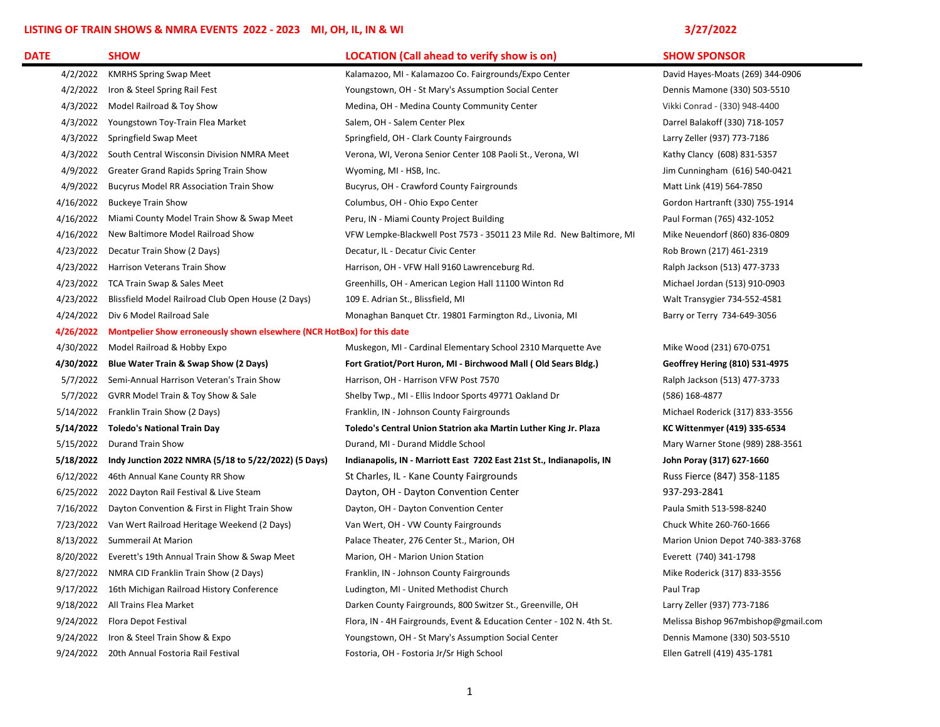## LISTING OF TRAIN SHOWS & NMRA EVENTS 2022 - 2023 MI, OH, IL, IN & WI 3/27 2022 3/27/2022

| <b>DATE</b> | <b>SHOW</b>                                                                      | <b>LOCATION (Call ahead to verify show is on)</b>                     | <b>SHOW SPONSOR</b>                 |  |
|-------------|----------------------------------------------------------------------------------|-----------------------------------------------------------------------|-------------------------------------|--|
| 4/2/2022    | <b>KMRHS Spring Swap Meet</b>                                                    | Kalamazoo, MI - Kalamazoo Co. Fairgrounds/Expo Center                 | David Hayes-Moats (269) 344-0906    |  |
|             | 4/2/2022 Iron & Steel Spring Rail Fest                                           | Youngstown, OH - St Mary's Assumption Social Center                   | Dennis Mamone (330) 503-5510        |  |
|             | 4/3/2022 Model Railroad & Toy Show                                               | Medina, OH - Medina County Community Center                           | Vikki Conrad - (330) 948-4400       |  |
|             | 4/3/2022 Youngstown Toy-Train Flea Market                                        | Salem, OH - Salem Center Plex                                         | Darrel Balakoff (330) 718-1057      |  |
|             | 4/3/2022 Springfield Swap Meet                                                   | Springfield, OH - Clark County Fairgrounds                            | Larry Zeller (937) 773-7186         |  |
|             | 4/3/2022 South Central Wisconsin Division NMRA Meet                              | Verona, WI, Verona Senior Center 108 Paoli St., Verona, WI            | Kathy Clancy (608) 831-5357         |  |
|             | 4/9/2022 Greater Grand Rapids Spring Train Show                                  | Wyoming, MI - HSB, Inc.                                               | Jim Cunningham (616) 540-0421       |  |
| 4/9/2022    | <b>Bucyrus Model RR Association Train Show</b>                                   | Bucyrus, OH - Crawford County Fairgrounds                             | Matt Link (419) 564-7850            |  |
| 4/16/2022   | <b>Buckeye Train Show</b>                                                        | Columbus, OH - Ohio Expo Center                                       | Gordon Hartranft (330) 755-1914     |  |
| 4/16/2022   | Miami County Model Train Show & Swap Meet                                        | Peru, IN - Miami County Project Building                              | Paul Forman (765) 432-1052          |  |
| 4/16/2022   | New Baltimore Model Railroad Show                                                | VFW Lempke-Blackwell Post 7573 - 35011 23 Mile Rd. New Baltimore, MI  | Mike Neuendorf (860) 836-0809       |  |
| 4/23/2022   | Decatur Train Show (2 Days)                                                      | Decatur, IL - Decatur Civic Center                                    | Rob Brown (217) 461-2319            |  |
|             | 4/23/2022 Harrison Veterans Train Show                                           | Harrison, OH - VFW Hall 9160 Lawrenceburg Rd.                         | Ralph Jackson (513) 477-3733        |  |
|             | 4/23/2022 TCA Train Swap & Sales Meet                                            | Greenhills, OH - American Legion Hall 11100 Winton Rd                 | Michael Jordan (513) 910-0903       |  |
| 4/23/2022   | Blissfield Model Railroad Club Open House (2 Days)                               | 109 E. Adrian St., Blissfield, MI                                     | Walt Transygier 734-552-4581        |  |
| 4/24/2022   | Div 6 Model Railroad Sale                                                        | Monaghan Banquet Ctr. 19801 Farmington Rd., Livonia, MI               | Barry or Terry 734-649-3056         |  |
|             | 4/26/2022 Montpelier Show erroneously shown elsewhere (NCR HotBox) for this date |                                                                       |                                     |  |
|             | 4/30/2022 Model Railroad & Hobby Expo                                            | Muskegon, MI - Cardinal Elementary School 2310 Marquette Ave          | Mike Wood (231) 670-0751            |  |
|             | 4/30/2022 Blue Water Train & Swap Show (2 Days)                                  | Fort Gratiot/Port Huron, MI - Birchwood Mall (Old Sears Bldg.)        | Geoffrey Hering (810) 531-4975      |  |
|             | 5/7/2022 Semi-Annual Harrison Veteran's Train Show                               | Harrison, OH - Harrison VFW Post 7570                                 | Ralph Jackson (513) 477-3733        |  |
|             | 5/7/2022 GVRR Model Train & Toy Show & Sale                                      | Shelby Twp., MI - Ellis Indoor Sports 49771 Oakland Dr                | (586) 168-4877                      |  |
|             | 5/14/2022 Franklin Train Show (2 Days)                                           | Franklin, IN - Johnson County Fairgrounds                             | Michael Roderick (317) 833-3556     |  |
|             | 5/14/2022 Toledo's National Train Day                                            | Toledo's Central Union Statrion aka Martin Luther King Jr. Plaza      | KC Wittenmyer (419) 335-6534        |  |
|             | 5/15/2022 Durand Train Show                                                      | Durand, MI - Durand Middle School                                     | Mary Warner Stone (989) 288-3561    |  |
|             | 5/18/2022 Indy Junction 2022 NMRA (5/18 to 5/22/2022) (5 Days)                   | Indianapolis, IN - Marriott East 7202 East 21st St., Indianapolis, IN | John Poray (317) 627-1660           |  |
|             | 6/12/2022 46th Annual Kane County RR Show                                        | St Charles, IL - Kane County Fairgrounds                              | Russ Fierce (847) 358-1185          |  |
|             | 6/25/2022 2022 Dayton Rail Festival & Live Steam                                 | Dayton, OH - Dayton Convention Center                                 | 937-293-2841                        |  |
|             | 7/16/2022 Dayton Convention & First in Flight Train Show                         | Dayton, OH - Dayton Convention Center                                 | Paula Smith 513-598-8240            |  |
|             | 7/23/2022 Van Wert Railroad Heritage Weekend (2 Days)                            | Van Wert, OH - VW County Fairgrounds                                  | Chuck White 260-760-1666            |  |
|             | 8/13/2022 Summerail At Marion                                                    | Palace Theater, 276 Center St., Marion, OH                            | Marion Union Depot 740-383-3768     |  |
|             | 8/20/2022 Everett's 19th Annual Train Show & Swap Meet                           | Marion, OH - Marion Union Station                                     | Everett (740) 341-1798              |  |
|             | 8/27/2022 NMRA CID Franklin Train Show (2 Days)                                  | Franklin, IN - Johnson County Fairgrounds                             | Mike Roderick (317) 833-3556        |  |
|             | 9/17/2022 16th Michigan Railroad History Conference                              | Ludington, MI - United Methodist Church                               | Paul Trap                           |  |
|             | 9/18/2022 All Trains Flea Market                                                 | Darken County Fairgrounds, 800 Switzer St., Greenville, OH            | Larry Zeller (937) 773-7186         |  |
|             | 9/24/2022 Flora Depot Festival                                                   | Flora, IN - 4H Fairgrounds, Event & Education Center - 102 N. 4th St. | Melissa Bishop 967mbishop@gmail.com |  |
|             | 9/24/2022 Iron & Steel Train Show & Expo                                         | Youngstown, OH - St Mary's Assumption Social Center                   | Dennis Mamone (330) 503-5510        |  |
|             | 9/24/2022 20th Annual Fostoria Rail Festival                                     | Fostoria, OH - Fostoria Jr/Sr High School                             | Ellen Gatrell (419) 435-1781        |  |